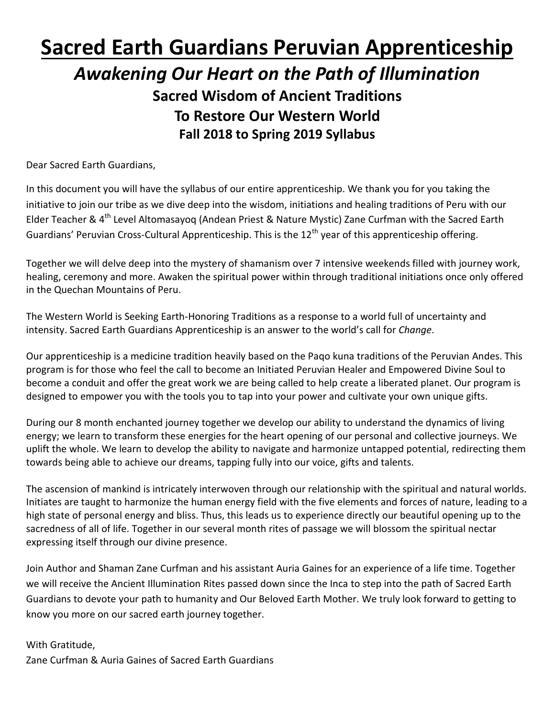# **Sacred Earth Guardians Peruvian Apprenticeship**  *Awakening Our Heart on the Path of Illumination* **Sacred Wisdom of Ancient Traditions To Restore Our Western World Fall 2018 to Spring 2019 Syllabus**

Dear Sacred Earth Guardians,

In this document you will have the syllabus of our entire apprenticeship. We thank you for you taking the initiative to join our tribe as we dive deep into the wisdom, initiations and healing traditions of Peru with our Elder Teacher & 4<sup>th</sup> Level Altomasayoq (Andean Priest & Nature Mystic) Zane Curfman with the Sacred Earth Guardians' Peruvian Cross-Cultural Apprenticeship. This is the 12<sup>th</sup> year of this apprenticeship offering.

Together we will delve deep into the mystery of shamanism over 7 intensive weekends filled with journey work, healing, ceremony and more. Awaken the spiritual power within through traditional initiations once only offered in the Quechan Mountains of Peru.

The Western World is Seeking Earth-Honoring Traditions as a response to a world full of uncertainty and intensity. Sacred Earth Guardians Apprenticeship is an answer to the world's call for *Change*.

Our apprenticeship is a medicine tradition heavily based on the Paqo kuna traditions of the Peruvian Andes. This program is for those who feel the call to become an Initiated Peruvian Healer and Empowered Divine Soul to become a conduit and offer the great work we are being called to help create a liberated planet. Our program is designed to empower you with the tools you to tap into your power and cultivate your own unique gifts.

During our 8 month enchanted journey together we develop our ability to understand the dynamics of living energy; we learn to transform these energies for the heart opening of our personal and collective journeys. We uplift the whole. We learn to develop the ability to navigate and harmonize untapped potential, redirecting them towards being able to achieve our dreams, tapping fully into our voice, gifts and talents.

The ascension of mankind is intricately interwoven through our relationship with the spiritual and natural worlds. Initiates are taught to harmonize the human energy field with the five elements and forces of nature, leading to a high state of personal energy and bliss. Thus, this leads us to experience directly our beautiful opening up to the sacredness of all of life. Together in our several month rites of passage we will blossom the spiritual nectar expressing itself through our divine presence.

Join Author and Shaman Zane Curfman and his assistant Auria Gaines for an experience of a life time. Together we will receive the Ancient Illumination Rites passed down since the Inca to step into the path of Sacred Earth Guardians to devote your path to humanity and Our Beloved Earth Mother. We truly look forward to getting to know you more on our sacred earth journey together.

With Gratitude, Zane Curfman & Auria Gaines of Sacred Earth Guardians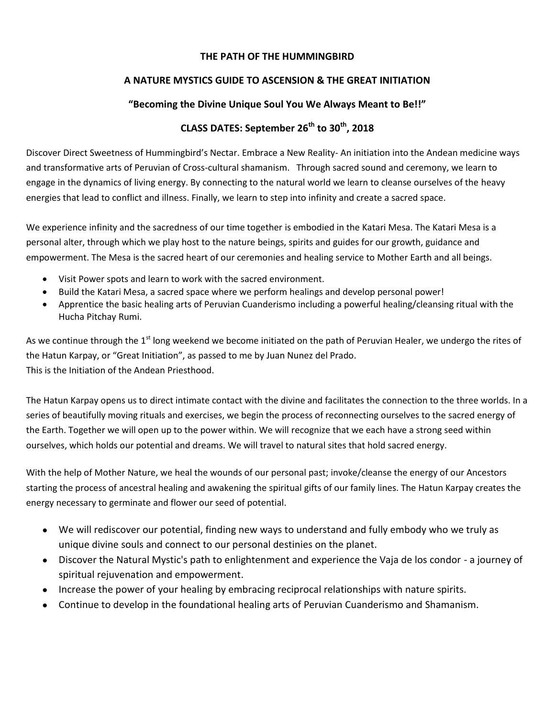#### **THE PATH OF THE HUMMINGBIRD**

## **A NATURE MYSTICS GUIDE TO ASCENSION & THE GREAT INITIATION**

## **"Becoming the Divine Unique Soul You We Always Meant to Be!!"**

# **CLASS DATES: September 26th to 30th, 2018**

Discover Direct Sweetness of Hummingbird's Nectar. Embrace a New Reality- An initiation into the Andean medicine ways and transformative arts of Peruvian of Cross-cultural shamanism. Through sacred sound and ceremony, we learn to engage in the dynamics of living energy. By connecting to the natural world we learn to cleanse ourselves of the heavy energies that lead to conflict and illness. Finally, we learn to step into infinity and create a sacred space.

We experience infinity and the sacredness of our time together is embodied in the Katari Mesa. The Katari Mesa is a personal alter, through which we play host to the nature beings, spirits and guides for our growth, guidance and empowerment. The Mesa is the sacred heart of our ceremonies and healing service to Mother Earth and all beings.

- Visit Power spots and learn to work with the sacred environment.
- Build the Katari Mesa, a sacred space where we perform healings and develop personal power!
- Apprentice the basic healing arts of Peruvian Cuanderismo including a powerful healing/cleansing ritual with the Hucha Pitchay Rumi.

As we continue through the  $1<sup>st</sup>$  long weekend we become initiated on the path of Peruvian Healer, we undergo the rites of the Hatun Karpay, or "Great Initiation", as passed to me by Juan Nunez del Prado. This is the Initiation of the Andean Priesthood.

The Hatun Karpay opens us to direct intimate contact with the divine and facilitates the connection to the three worlds. In a series of beautifully moving rituals and exercises, we begin the process of reconnecting ourselves to the sacred energy of the Earth. Together we will open up to the power within. We will recognize that we each have a strong seed within ourselves, which holds our potential and dreams. We will travel to natural sites that hold sacred energy.

With the help of Mother Nature, we heal the wounds of our personal past; invoke/cleanse the energy of our Ancestors starting the process of ancestral healing and awakening the spiritual gifts of our family lines. The Hatun Karpay creates the energy necessary to germinate and flower our seed of potential.

- We will rediscover our potential, finding new ways to understand and fully embody who we truly as unique divine souls and connect to our personal destinies on the planet.
- Discover the Natural Mystic's path to enlightenment and experience the Vaja de los condor a journey of spiritual rejuvenation and empowerment.
- Increase the power of your healing by embracing reciprocal relationships with nature spirits.
- Continue to develop in the foundational healing arts of Peruvian Cuanderismo and Shamanism.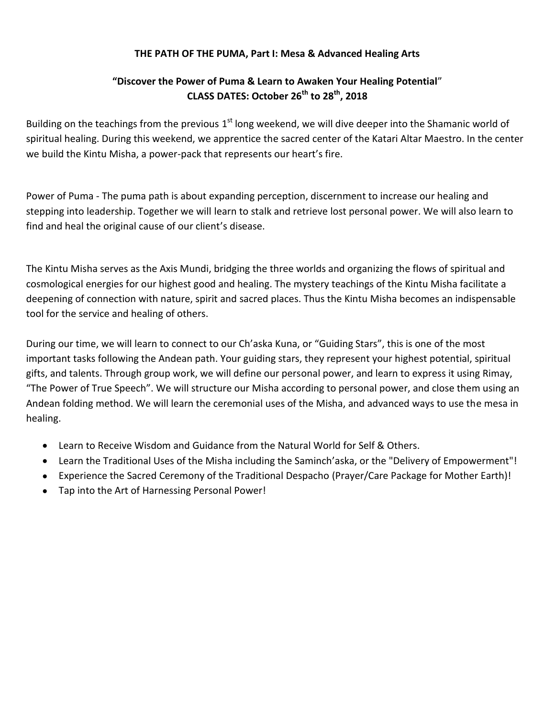#### **THE PATH OF THE PUMA, Part I: Mesa & Advanced Healing Arts**

# **"Discover the Power of Puma & Learn to Awaken Your Healing Potential**" **CLASS DATES: October 26th to 28th , 2018**

Building on the teachings from the previous 1<sup>st</sup> long weekend, we will dive deeper into the Shamanic world of spiritual healing. During this weekend, we apprentice the sacred center of the Katari Altar Maestro. In the center we build the Kintu Misha, a power-pack that represents our heart's fire.

Power of Puma - The puma path is about expanding perception, discernment to increase our healing and stepping into leadership. Together we will learn to stalk and retrieve lost personal power. We will also learn to find and heal the original cause of our client's disease.

The Kintu Misha serves as the Axis Mundi, bridging the three worlds and organizing the flows of spiritual and cosmological energies for our highest good and healing. The mystery teachings of the Kintu Misha facilitate a deepening of connection with nature, spirit and sacred places. Thus the Kintu Misha becomes an indispensable tool for the service and healing of others.

During our time, we will learn to connect to our Ch'aska Kuna, or "Guiding Stars", this is one of the most important tasks following the Andean path. Your guiding stars, they represent your highest potential, spiritual gifts, and talents. Through group work, we will define our personal power, and learn to express it using Rimay, "The Power of True Speech". We will structure our Misha according to personal power, and close them using an Andean folding method. We will learn the ceremonial uses of the Misha, and advanced ways to use the mesa in healing.

- Learn to Receive Wisdom and Guidance from the Natural World for Self & Others.
- Learn the Traditional Uses of the Misha including the Saminch'aska, or the "Delivery of Empowerment"!
- Experience the Sacred Ceremony of the Traditional Despacho (Prayer/Care Package for Mother Earth)!
- Tap into the Art of Harnessing Personal Power!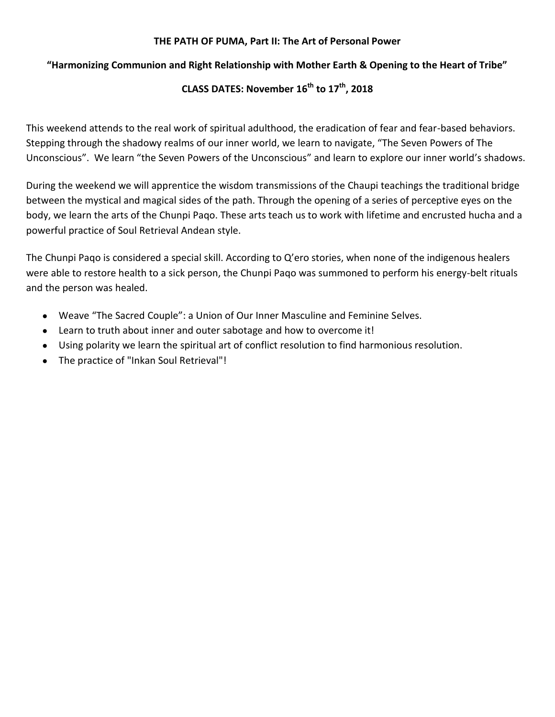#### **THE PATH OF PUMA, Part II: The Art of Personal Power**

### **"Harmonizing Communion and Right Relationship with Mother Earth & Opening to the Heart of Tribe"**

## **CLASS DATES: November 16th to 17th , 2018**

This weekend attends to the real work of spiritual adulthood, the eradication of fear and fear-based behaviors. Stepping through the shadowy realms of our inner world, we learn to navigate, "The Seven Powers of The Unconscious". We learn "the Seven Powers of the Unconscious" and learn to explore our inner world's shadows.

During the weekend we will apprentice the wisdom transmissions of the Chaupi teachings the traditional bridge between the mystical and magical sides of the path. Through the opening of a series of perceptive eyes on the body, we learn the arts of the Chunpi Paqo. These arts teach us to work with lifetime and encrusted hucha and a powerful practice of Soul Retrieval Andean style.

The Chunpi Paqo is considered a special skill. According to Q'ero stories, when none of the indigenous healers were able to restore health to a sick person, the Chunpi Paqo was summoned to perform his energy-belt rituals and the person was healed.

- Weave "The Sacred Couple": a Union of Our Inner Masculine and Feminine Selves.
- Learn to truth about inner and outer sabotage and how to overcome it!
- Using polarity we learn the spiritual art of conflict resolution to find harmonious resolution.
- The practice of "Inkan Soul Retrieval"!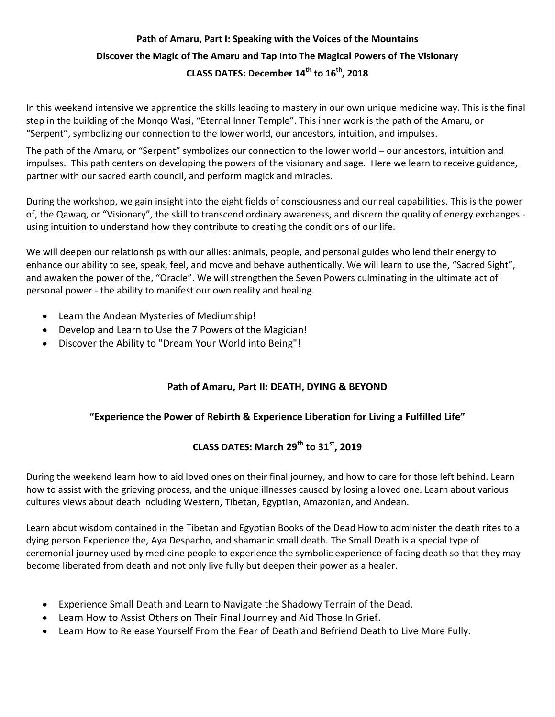# **Path of Amaru, Part I: Speaking with the Voices of the Mountains Discover the Magic of The Amaru and Tap Into The Magical Powers of The Visionary CLASS DATES: December 14th to 16th , 2018**

In this weekend intensive we apprentice the skills leading to mastery in our own unique medicine way. This is the final step in the building of the Monqo Wasi, "Eternal Inner Temple". This inner work is the path of the Amaru, or "Serpent", symbolizing our connection to the lower world, our ancestors, intuition, and impulses.

The path of the Amaru, or "Serpent" symbolizes our connection to the lower world – our ancestors, intuition and impulses. This path centers on developing the powers of the visionary and sage. Here we learn to receive guidance, partner with our sacred earth council, and perform magick and miracles.

During the workshop, we gain insight into the eight fields of consciousness and our real capabilities. This is the power of, the Qawaq, or "Visionary", the skill to transcend ordinary awareness, and discern the quality of energy exchanges using intuition to understand how they contribute to creating the conditions of our life.

We will deepen our relationships with our allies: animals, people, and personal guides who lend their energy to enhance our ability to see, speak, feel, and move and behave authentically. We will learn to use the, "Sacred Sight", and awaken the power of the, "Oracle". We will strengthen the Seven Powers culminating in the ultimate act of personal power - the ability to manifest our own reality and healing.

- Learn the Andean Mysteries of Mediumship!
- Develop and Learn to Use the 7 Powers of the Magician!
- Discover the Ability to "Dream Your World into Being"!

## **Path of Amaru, Part II: DEATH, DYING & BEYOND**

#### **"Experience the Power of Rebirth & Experience Liberation for Living a Fulfilled Life"**

# **CLASS DATES: March 29th to 31st , 2019**

During the weekend learn how to aid loved ones on their final journey, and how to care for those left behind. Learn how to assist with the grieving process, and the unique illnesses caused by losing a loved one. Learn about various cultures views about death including Western, Tibetan, Egyptian, Amazonian, and Andean.

Learn about wisdom contained in the Tibetan and Egyptian Books of the Dead How to administer the death rites to a dying person Experience the, Aya Despacho, and shamanic small death. The Small Death is a special type of ceremonial journey used by medicine people to experience the symbolic experience of facing death so that they may become liberated from death and not only live fully but deepen their power as a healer.

- Experience Small Death and Learn to Navigate the Shadowy Terrain of the Dead.
- Learn How to Assist Others on Their Final Journey and Aid Those In Grief.
- Learn How to Release Yourself From the Fear of Death and Befriend Death to Live More Fully.